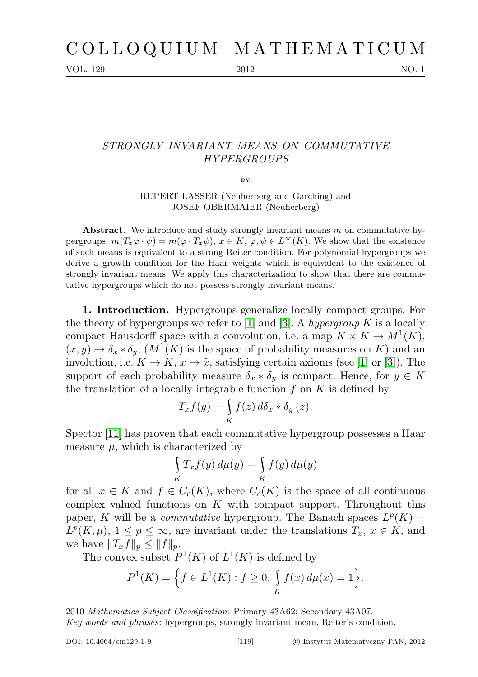VOL. 129 2012 NO. 1

## STRONGLY INVARIANT MEANS ON COMMUTATIVE HYPERGROUPS

BY

RUPERT LASSER (Neuherberg and Garching) and JOSEF OBERMAIER (Neuherberg)

Abstract. We introduce and study strongly invariant means  $m$  on commutative hypergroups,  $m(T_x\varphi \cdot \psi) = m(\varphi \cdot T_{\tilde{x}}\psi), x \in K$ ,  $\varphi, \psi \in L^{\infty}(K)$ . We show that the existence of such means is equivalent to a strong Reiter condition. For polynomial hypergroups we derive a growth condition for the Haar weights which is equivalent to the existence of strongly invariant means. We apply this characterization to show that there are commutative hypergroups which do not possess strongly invariant means.

1. Introduction. Hypergroups generalize locally compact groups. For the theory of hypergroups we refer to [\[1\]](#page-11-0) and [\[3\]](#page-11-1). A hypergroup K is a locally compact Hausdorff space with a convolution, i.e. a map  $K \times K \to M^1(K)$ ,  $(x, y) \mapsto \delta_x * \delta_y$ ,  $(M^1(K)$  is the space of probability measures on K) and an involution, i.e.  $K \to K$ ,  $x \mapsto \tilde{x}$ , satisfying certain axioms (see [\[1\]](#page-11-0) or [\[3\]](#page-11-1)). The support of each probability measure  $\delta_x * \delta_y$  is compact. Hence, for  $y \in K$ the translation of a locally integrable function  $f$  on  $K$  is defined by

$$
T_x f(y) = \int\limits_K f(z) \, d\delta_x * \delta_y (z).
$$

Spector [\[11\]](#page-12-0) has proven that each commutative hypergroup possesses a Haar measure  $\mu$ , which is characterized by

$$
\int\limits_K T_x f(y) \, d\mu(y) = \int\limits_K f(y) \, d\mu(y)
$$

for all  $x \in K$  and  $f \in C_c(K)$ , where  $C_c(K)$  is the space of all continuous complex valued functions on  $K$  with compact support. Throughout this paper, K will be a *commutative* hypergroup. The Banach spaces  $L^p(K)$  =  $L^p(K,\mu), 1 \leq p \leq \infty$ , are invariant under the translations  $T_x, x \in K$ , and we have  $||T_xf||_p \leq ||f||_p$ .

The convex subset  $P^1(K)$  of  $L^1(K)$  is defined by

$$
P^{1}(K) = \left\{ f \in L^{1}(K) : f \ge 0, \int_{K} f(x) d\mu(x) = 1 \right\}.
$$

<sup>2010</sup> Mathematics Subject Classification: Primary 43A62; Secondary 43A07.

Key words and phrases: hypergroups, strongly invariant mean, Reiter's condition.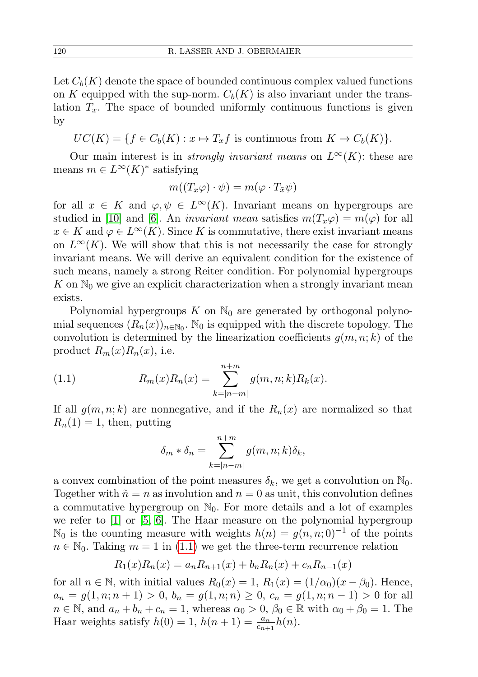Let  $C_b(K)$  denote the space of bounded continuous complex valued functions on K equipped with the sup-norm.  $C_b(K)$  is also invariant under the translation  $T_x$ . The space of bounded uniformly continuous functions is given by

 $UC(K) = \{f \in C_b(K) : x \mapsto T_x f \text{ is continuous from } K \to C_b(K)\}.$ 

Our main interest is in *strongly invariant means* on  $L^{\infty}(K)$ : these are means  $m \in L^{\infty}(K)^*$  satisfying

$$
m((T_x\varphi)\cdot\psi)=m(\varphi\cdot T_{\tilde{x}}\psi)
$$

for all  $x \in K$  and  $\varphi, \psi \in L^{\infty}(K)$ . Invariant means on hypergroups are studied in [\[10\]](#page-12-1) and [\[6\]](#page-12-2). An *invariant mean* satisfies  $m(T_x\varphi) = m(\varphi)$  for all  $x \in K$  and  $\varphi \in L^{\infty}(K)$ . Since K is commutative, there exist invariant means on  $L^{\infty}(K)$ . We will show that this is not necessarily the case for strongly invariant means. We will derive an equivalent condition for the existence of such means, namely a strong Reiter condition. For polynomial hypergroups K on  $\mathbb{N}_0$  we give an explicit characterization when a strongly invariant mean exists.

Polynomial hypergroups K on  $\mathbb{N}_0$  are generated by orthogonal polynomial sequences  $(R_n(x))_{n\in\mathbb{N}_0}$ .  $\mathbb{N}_0$  is equipped with the discrete topology. The convolution is determined by the linearization coefficients  $g(m, n; k)$  of the product  $R_m(x)R_n(x)$ , i.e.

(1.1) 
$$
R_m(x)R_n(x) = \sum_{k=|n-m|}^{n+m} g(m,n;k)R_k(x).
$$

If all  $g(m, n; k)$  are nonnegative, and if the  $R_n(x)$  are normalized so that  $R_n(1) = 1$ , then, putting

<span id="page-1-0"></span>
$$
\delta_m * \delta_n = \sum_{k=|n-m|}^{n+m} g(m,n;k)\delta_k,
$$

a convex combination of the point measures  $\delta_k$ , we get a convolution on  $\mathbb{N}_0$ . Together with  $\tilde{n} = n$  as involution and  $n = 0$  as unit, this convolution defines a commutative hypergroup on  $\mathbb{N}_0$ . For more details and a lot of examples we refer to [\[1\]](#page-11-0) or [\[5,](#page-11-2) [6\]](#page-12-2). The Haar measure on the polynomial hypergroup N<sub>0</sub> is the counting measure with weights  $h(n) = g(n, n; 0)^{-1}$  of the points  $n \in \mathbb{N}_0$ . Taking  $m = 1$  in [\(1.1\)](#page-1-0) we get the three-term recurrence relation

$$
R_1(x)R_n(x) = a_n R_{n+1}(x) + b_n R_n(x) + c_n R_{n-1}(x)
$$

for all  $n \in \mathbb{N}$ , with initial values  $R_0(x) = 1$ ,  $R_1(x) = (1/\alpha_0)(x - \beta_0)$ . Hence,  $a_n = g(1, n; n+1) > 0, b_n = g(1, n; n) \geq 0, c_n = g(1, n; n-1) > 0$  for all  $n \in \mathbb{N}$ , and  $a_n + b_n + c_n = 1$ , whereas  $\alpha_0 > 0$ ,  $\beta_0 \in \mathbb{R}$  with  $\alpha_0 + \beta_0 = 1$ . The Haar weights satisfy  $h(0) = 1$ ,  $h(n+1) = \frac{a_n}{c_{n+1}}h(n)$ .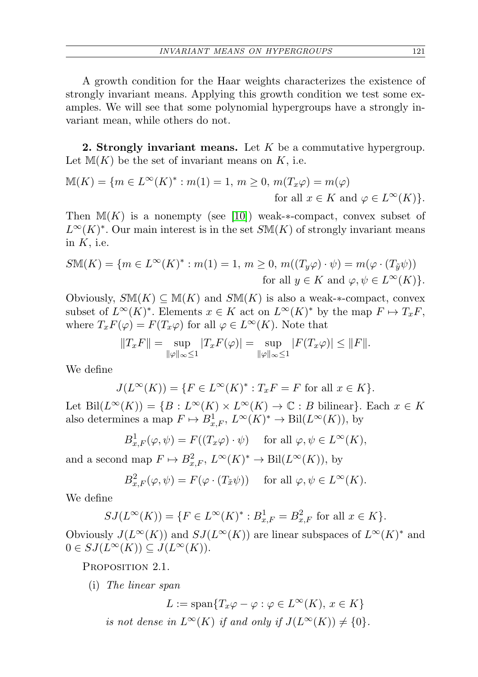A growth condition for the Haar weights characterizes the existence of strongly invariant means. Applying this growth condition we test some examples. We will see that some polynomial hypergroups have a strongly invariant mean, while others do not.

**2. Strongly invariant means.** Let  $K$  be a commutative hypergroup. Let  $M(K)$  be the set of invariant means on K, i.e.

$$
\mathbb{M}(K) = \{ m \in L^{\infty}(K)^{*} : m(1) = 1, m \ge 0, m(T_x \varphi) = m(\varphi)
$$
  
for all  $x \in K$  and  $\varphi \in L^{\infty}(K) \}.$ 

Then  $M(K)$  is a nonempty (see [\[10\]](#page-12-1)) weak- $*$ -compact, convex subset of  $L^{\infty}(K)^*$ . Our main interest is in the set  $S\mathbb{M}(K)$  of strongly invariant means in  $K$ , i.e.

$$
S\mathbb{M}(K) = \{ m \in L^{\infty}(K)^{*} : m(1) = 1, m \ge 0, m((T_y \varphi) \cdot \psi) = m(\varphi \cdot (T_{\tilde{y}} \psi))
$$
  
for all  $y \in K$  and  $\varphi, \psi \in L^{\infty}(K) \}.$ 

Obviously,  $S\mathbb{M}(K) \subseteq \mathbb{M}(K)$  and  $S\mathbb{M}(K)$  is also a weak-\*-compact, convex subset of  $L^{\infty}(K)^*$ . Elements  $x \in K$  act on  $L^{\infty}(K)^*$  by the map  $F \mapsto T_x F$ , where  $T_xF(\varphi) = F(T_x\varphi)$  for all  $\varphi \in L^{\infty}(K)$ . Note that

$$
||T_x F|| = \sup_{||\varphi||_{\infty} \le 1} |T_x F(\varphi)| = \sup_{||\varphi||_{\infty} \le 1} |F(T_x \varphi)| \le ||F||.
$$

We define

$$
J(L^{\infty}(K)) = \{ F \in L^{\infty}(K)^* : T_x F = F \text{ for all } x \in K \}.
$$

Let Bil $(L^{\infty}(K)) = \{B : L^{\infty}(K) \times L^{\infty}(K) \to \mathbb{C} : B$  bilinear $\}.$  Each  $x \in K$ also determines a map  $F \mapsto B^1_{x,F}$ ,  $L^\infty(K)^* \to \text{Bil}(L^\infty(K))$ , by

$$
B_{x,F}^1(\varphi,\psi) = F((T_x\varphi) \cdot \psi) \quad \text{ for all } \varphi,\psi \in L^{\infty}(K),
$$

and a second map  $F \mapsto B_{x,F}^2$ ,  $L^{\infty}(K)^* \to \text{Bil}(L^{\infty}(K))$ , by

$$
B_{x,F}^2(\varphi,\psi) = F(\varphi \cdot (T_{\tilde{x}}\psi)) \quad \text{ for all } \varphi, \psi \in L^{\infty}(K).
$$

We define

$$
SJ(L^{\infty}(K)) = \{ F \in L^{\infty}(K)^{*} : B_{x,F}^{1} = B_{x,F}^{2} \text{ for all } x \in K \}.
$$

Obviously  $J(L^{\infty}(K))$  and  $SJ(L^{\infty}(K))$  are linear subspaces of  $L^{\infty}(K)^*$  and  $0 \in SJ(L^{\infty}(K)) \subseteq J(L^{\infty}(K)).$ 

PROPOSITION 2.1.

(i) The linear span

$$
L := \text{span}\{T_x\varphi - \varphi : \varphi \in L^{\infty}(K), x \in K\}
$$
  
is not dense in  $L^{\infty}(K)$  if and only if  $J(L^{\infty}(K)) \neq \{0\}.$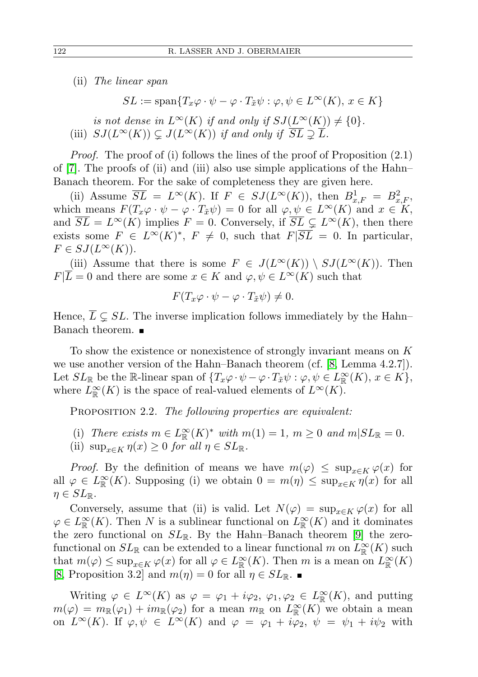(ii) The linear span

$$
SL := \text{span}\{T_x\varphi \cdot \psi - \varphi \cdot T_{\tilde{x}}\psi : \varphi, \psi \in L^{\infty}(K), x \in K\}
$$
  
is not dense in  $L^{\infty}(K)$  if and only if  $SJ(L^{\infty}(K)) \neq \{0\}$ .  
(iii)  $SJ(L^{\infty}(K)) \subsetneq J(L^{\infty}(K))$  if and only if  $\overline{SL} \supsetneq \overline{L}$ .

*Proof.* The proof of (i) follows the lines of the proof of Proposition  $(2.1)$ of [\[7\]](#page-12-3). The proofs of (ii) and (iii) also use simple applications of the Hahn–

Banach theorem. For the sake of completeness they are given here.

(ii) Assume  $\overline{SL} = L^{\infty}(K)$ . If  $F \in \overline{SJ(L^{\infty}(K))}$ , then  $B^1_{x,F} = B^2_{x,F}$ , which means  $F(T_x\varphi \cdot \psi - \varphi \cdot T_{\tilde{x}}\psi) = 0$  for all  $\varphi, \psi \in L^{\infty}(K)$  and  $x \in K$ , and  $\overline{SL} = L^{\infty}(K)$  implies  $F = 0$ . Conversely, if  $\overline{SL} \subsetneq L^{\infty}(K)$ , then there exists some  $F \in L^{\infty}(K)^{*}$ ,  $F \neq 0$ , such that  $F|\overline{SL} = 0$ . In particular,  $F \in \mathcal{S}J(L^{\infty}(K)).$ 

(iii) Assume that there is some  $F \in J(L^{\infty}(K)) \setminus SJ(L^{\infty}(K))$ . Then  $F|\overline{L} = 0$  and there are some  $x \in K$  and  $\varphi, \psi \in L^{\infty}(K)$  such that

$$
F(T_x\varphi \cdot \psi - \varphi \cdot T_{\tilde{x}}\psi) \neq 0.
$$

Hence,  $\overline{L} \subseteq SL$ . The inverse implication follows immediately by the Hahn– Banach theorem.

To show the existence or nonexistence of strongly invariant means on K we use another version of the Hahn–Banach theorem (cf. [\[8,](#page-12-4) Lemma 4.2.7]). Let  $SL_{\mathbb{R}}$  be the R-linear span of  $\{T_x\varphi\cdot\psi-\varphi\cdot T_{\tilde{x}}\psi:\varphi,\psi\in L_{\mathbb{R}}^{\infty}(K), x\in K\},$ where  $L^{\infty}_{\mathbb{R}}(K)$  is the space of real-valued elements of  $L^{\infty}(K)$ .

PROPOSITION 2.2. The following properties are equivalent:

- (i) There exists  $m \in L^{\infty}_{\mathbb{R}}(K)^*$  with  $m(1) = 1, m \geq 0$  and  $m|SL_{\mathbb{R}} = 0$ .
- (ii)  $\sup_{x \in K} \eta(x) \geq 0$  for all  $\eta \in SL_{\mathbb{R}}$ .

*Proof.* By the definition of means we have  $m(\varphi) \leq \sup_{x \in K} \varphi(x)$  for all  $\varphi \in L^{\infty}_{\mathbb{R}}(K)$ . Supposing (i) we obtain  $0 = m(\eta) \leq \sup_{x \in K} \eta(x)$  for all  $\eta \in SL_{\mathbb{R}}$ .

Conversely, assume that (ii) is valid. Let  $N(\varphi) = \sup_{x \in K} \varphi(x)$  for all  $\varphi \in L^{\infty}_{\mathbb{R}}(K)$ . Then N is a sublinear functional on  $L^{\infty}_{\mathbb{R}}(K)$  and it dominates the zero functional on  $SL_{\mathbb{R}}$ . By the Hahn–Banach theorem [\[9\]](#page-12-5) the zerofunctional on  $SL_{\mathbb{R}}$  can be extended to a linear functional m on  $L^{\infty}_{\mathbb{R}}(K)$  such that  $m(\varphi) \leq \sup_{x \in K} \varphi(x)$  for all  $\varphi \in L^{\infty}_{\mathbb{R}}(K)$ . Then m is a mean on  $L^{\infty}_{\mathbb{R}}(K)$ [\[8,](#page-12-4) Proposition 3.2] and  $m(\eta) = 0$  for all  $\eta \in SL_{\mathbb{R}}$ .

Writing  $\varphi \in L^{\infty}(K)$  as  $\varphi = \varphi_1 + i\varphi_2, \varphi_1, \varphi_2 \in L^{\infty}_{\mathbb{R}}(K)$ , and putting  $m(\varphi) = m_{\mathbb{R}}(\varphi_1) + im_{\mathbb{R}}(\varphi_2)$  for a mean  $m_{\mathbb{R}}$  on  $L^{\infty}_{\mathbb{R}}(K)$  we obtain a mean on  $L^{\infty}(K)$ . If  $\varphi, \psi \in L^{\infty}(K)$  and  $\varphi = \varphi_1 + i\overline{\varphi_2}$ ,  $\psi = \psi_1 + i\psi_2$  with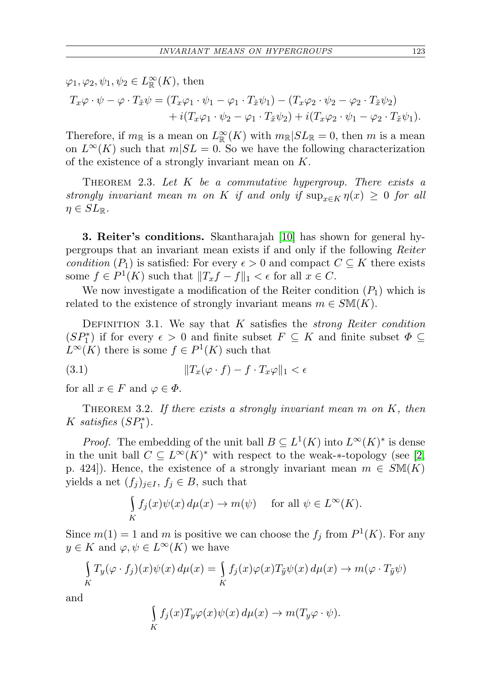$\varphi_1, \varphi_2, \psi_1, \psi_2 \in L^{\infty}_{\mathbb{R}}(K)$ , then

$$
T_x\varphi \cdot \psi - \varphi \cdot T_{\tilde{x}}\psi = (T_x\varphi_1 \cdot \psi_1 - \varphi_1 \cdot T_{\tilde{x}}\psi_1) - (T_x\varphi_2 \cdot \psi_2 - \varphi_2 \cdot T_{\tilde{x}}\psi_2) + i(T_x\varphi_1 \cdot \psi_2 - \varphi_1 \cdot T_{\tilde{x}}\psi_2) + i(T_x\varphi_2 \cdot \psi_1 - \varphi_2 \cdot T_{\tilde{x}}\psi_1).
$$

Therefore, if  $m_{\mathbb{R}}$  is a mean on  $L^{\infty}_{\mathbb{R}}(K)$  with  $m_{\mathbb{R}}|SL_{\mathbb{R}}=0$ , then m is a mean on  $L^{\infty}(K)$  such that  $m|SL = 0$ . So we have the following characterization of the existence of a strongly invariant mean on K.

<span id="page-4-2"></span>THEOREM 2.3. Let  $K$  be a commutative hypergroup. There exists a strongly invariant mean m on K if and only if  $\sup_{x\in K} \eta(x) \geq 0$  for all  $\eta \in SL_{\mathbb{R}}$ .

3. Reiter's conditions. Skantharajah [\[10\]](#page-12-1) has shown for general hypergroups that an invariant mean exists if and only if the following Reiter condition  $(P_1)$  is satisfied: For every  $\epsilon > 0$  and compact  $C \subseteq K$  there exists some  $f \in P^1(K)$  such that  $||T_x f - f||_1 < \epsilon$  for all  $x \in C$ .

We now investigate a modification of the Reiter condition  $(P_1)$  which is related to the existence of strongly invariant means  $m \in \mathcal{S}M(K)$ .

DEFINITION 3.1. We say that  $K$  satisfies the *strong Reiter condition*  $(SP_1^*)$  if for every  $\epsilon > 0$  and finite subset  $F \subseteq K$  and finite subset  $\Phi \subseteq$  $L^{\infty}(K)$  there is some  $f \in P^1(K)$  such that

<span id="page-4-1"></span>(3.1) kTx(ϕ · f) − f · Txϕk<sup>1</sup> <

for all  $x \in F$  and  $\varphi \in \Phi$ .

<span id="page-4-0"></span>THEOREM 3.2. If there exists a strongly invariant mean  $m$  on  $K$ , then K satisfies  $(SP_1^*)$ .

*Proof.* The embedding of the unit ball  $B \subseteq L^1(K)$  into  $L^{\infty}(K)^*$  is dense in the unit ball  $C \subseteq L^{\infty}(K)^*$  with respect to the weak-\*-topology (see [\[2,](#page-11-3) p. 424]). Hence, the existence of a strongly invariant mean  $m \in SM(K)$ yields a net  $(f_i)_{i\in I}$ ,  $f_i \in B$ , such that

$$
\int\limits_K f_j(x)\psi(x) d\mu(x) \to m(\psi) \quad \text{ for all } \psi \in L^{\infty}(K).
$$

Since  $m(1) = 1$  and m is positive we can choose the  $f_j$  from  $P^1(K)$ . For any  $y \in K$  and  $\varphi, \psi \in L^{\infty}(K)$  we have

$$
\int_{K} T_{y}(\varphi \cdot f_{j})(x)\psi(x) d\mu(x) = \int_{K} f_{j}(x)\varphi(x)T_{\tilde{y}}\psi(x) d\mu(x) \to m(\varphi \cdot T_{\tilde{y}}\psi)
$$

and

$$
\int_{K} f_j(x) T_y \varphi(x) \psi(x) d\mu(x) \to m(T_y \varphi \cdot \psi).
$$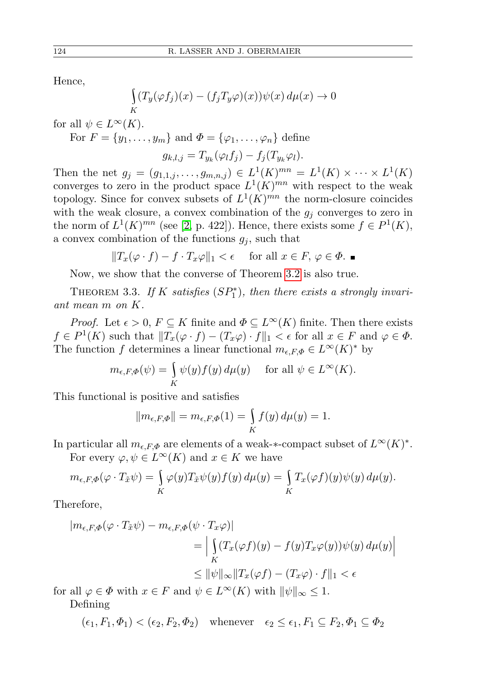Hence,

$$
\int_{K} (T_y(\varphi f_j)(x) - (f_j T_y \varphi)(x)) \psi(x) d\mu(x) \to 0
$$

for all  $\psi \in L^{\infty}(K)$ .

For  $F = \{y_1, \ldots, y_m\}$  and  $\Phi = \{\varphi_1, \ldots, \varphi_n\}$  define

$$
g_{k,l,j}=T_{y_k}(\varphi_l f_j)-f_j(T_{y_k}\varphi_l).
$$

Then the net  $g_j = (g_{1,1,j}, \ldots, g_{m,n,j}) \in L^1(K)^{mn} = L^1(K) \times \cdots \times L^1(K)$ converges to zero in the product space  $L^1(K)^{mn}$  with respect to the weak topology. Since for convex subsets of  $L^1(K)^{mn}$  the norm-closure coincides with the weak closure, a convex combination of the  $g_i$  converges to zero in the norm of  $L^1(K)^{mn}$  (see [\[2,](#page-11-3) p. 422]). Hence, there exists some  $f \in P^1(K)$ , a convex combination of the functions  $g_i$ , such that

$$
||T_x(\varphi \cdot f) - f \cdot T_x \varphi||_1 < \epsilon \quad \text{ for all } x \in F, \varphi \in \Phi.
$$

Now, we show that the converse of Theorem [3.2](#page-4-0) is also true.

THEOREM 3.3. If K satisfies  $(SP_1^*)$ , then there exists a strongly invariant mean m on K.

*Proof.* Let  $\epsilon > 0$ ,  $F \subseteq K$  finite and  $\Phi \subseteq L^{\infty}(K)$  finite. Then there exists  $f \in P^1(K)$  such that  $||T_x(\varphi \cdot f) - (T_x \varphi) \cdot f||_1 < \epsilon$  for all  $x \in F$  and  $\varphi \in \Phi$ . The function f determines a linear functional  $m_{\epsilon,F,\Phi} \in L^{\infty}(K)^*$  by

$$
m_{\epsilon, F, \Phi}(\psi) = \int\limits_K \psi(y) f(y) \, d\mu(y) \quad \text{ for all } \psi \in L^{\infty}(K).
$$

This functional is positive and satisfies

$$
||m_{\epsilon,F,\Phi}|| = m_{\epsilon,F,\Phi}(1) = \int\limits_K f(y) \, d\mu(y) = 1.
$$

In particular all  $m_{\epsilon,F,\Phi}$  are elements of a weak-\*-compact subset of  $L^{\infty}(K)^*$ .

For every  $\varphi, \psi \in L^{\infty}(K)$  and  $x \in K$  we have

$$
m_{\epsilon,F,\Phi}(\varphi \cdot T_{\tilde{x}}\psi) = \int\limits_K \varphi(y)T_{\tilde{x}}\psi(y)f(y) d\mu(y) = \int\limits_K T_x(\varphi f)(y)\psi(y) d\mu(y).
$$

Therefore,

$$
|m_{\epsilon,F,\Phi}(\varphi \cdot T_{\tilde{x}}\psi) - m_{\epsilon,F,\Phi}(\psi \cdot T_x \varphi)|
$$
  
\n
$$
= \Big| \int_K (T_x(\varphi f)(y) - f(y)T_x \varphi(y))\psi(y) d\mu(y) \Big|
$$
  
\n
$$
\leq \|\psi\|_{\infty} \|T_x(\varphi f) - (T_x \varphi) \cdot f\|_1 < \epsilon
$$

for all  $\varphi \in \Phi$  with  $x \in F$  and  $\psi \in L^{\infty}(K)$  with  $\|\psi\|_{\infty} \leq 1$ . Defining

$$
(\epsilon_1, F_1, \Phi_1) < (\epsilon_2, F_2, \Phi_2) \quad \text{whenever} \quad \epsilon_2 \le \epsilon_1, F_1 \subseteq F_2, \Phi_1 \subseteq \Phi_2
$$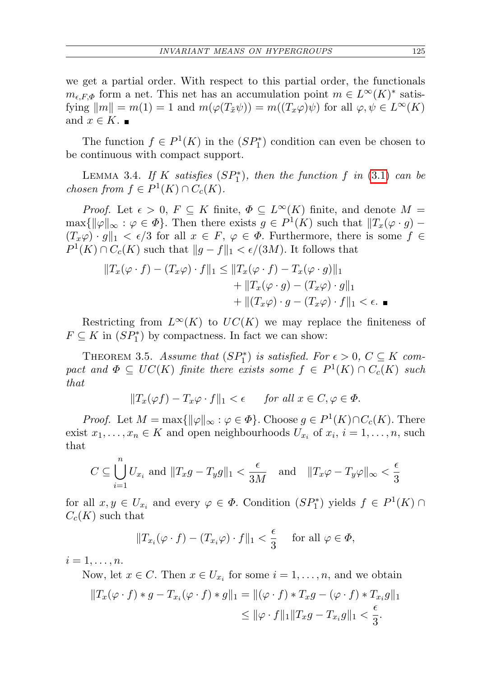we get a partial order. With respect to this partial order, the functionals  $m_{\epsilon,F,\Phi}$  form a net. This net has an accumulation point  $m \in L^{\infty}(K)^*$  satisfying  $\|m\| = m(1) = 1$  and  $m(\varphi(T_{\tilde{x}}\psi)) = m((T_x\varphi)\psi)$  for all  $\varphi, \psi \in L^{\infty}(K)$ and  $x \in K$ .

The function  $f \in P^1(K)$  in the  $(SP_1^*)$  condition can even be chosen to be continuous with compact support.

LEMMA 3.4. If K satisfies  $(SP_1^*)$ , then the function f in [\(3.1\)](#page-4-1) can be chosen from  $f \in P^1(K) \cap C_c(K)$ .

*Proof.* Let  $\epsilon > 0$ ,  $F \subseteq K$  finite,  $\Phi \subseteq L^{\infty}(K)$  finite, and denote  $M =$  $\max\{\|\varphi\|_{\infty} : \varphi \in \Phi\}.$  Then there exists  $g \in P^1(K)$  such that  $||T_x(\varphi \cdot g) (T_x\varphi) \cdot g\|_1 < \epsilon/3$  for all  $x \in F$ ,  $\varphi \in \Phi$ . Furthermore, there is some  $f \in$  $P^1(K) \cap C_c(K)$  such that  $||g - f||_1 < \epsilon/(3M)$ . It follows that

$$
||T_x(\varphi \cdot f) - (T_x \varphi) \cdot f||_1 \le ||T_x(\varphi \cdot f) - T_x(\varphi \cdot g)||_1
$$
  
+ 
$$
||T_x(\varphi \cdot g) - (T_x \varphi) \cdot g||_1
$$
  
+ 
$$
||(T_x \varphi) \cdot g - (T_x \varphi) \cdot f||_1 < \epsilon.
$$

Restricting from  $L^{\infty}(K)$  to  $UC(K)$  we may replace the finiteness of  $F \subseteq K$  in  $(SP_1^*)$  by compactness. In fact we can show:

THEOREM 3.5. Assume that  $(SP_1^*)$  is satisfied. For  $\epsilon > 0$ ,  $C \subseteq K$  compact and  $\Phi \subseteq UC(K)$  finite there exists some  $f \in P^1(K) \cap C_c(K)$  such that

$$
||T_x(\varphi f) - T_x \varphi \cdot f||_1 < \epsilon \quad \text{for all } x \in C, \varphi \in \Phi.
$$

*Proof.* Let  $M = \max{\{\|\varphi\|_{\infty} : \varphi \in \Phi\}}$ . Choose  $g \in P^1(K) \cap C_c(K)$ . There exist  $x_1, \ldots, x_n \in K$  and open neighbourhoods  $U_{x_i}$  of  $x_i$ ,  $i = 1, \ldots, n$ , such that

$$
C \subseteq \bigcup_{i=1}^{n} U_{x_i} \text{ and } ||T_x g - T_y g||_1 < \frac{\epsilon}{3M} \quad \text{and} \quad ||T_x \varphi - T_y \varphi||_{\infty} < \frac{\epsilon}{3}
$$

for all  $x, y \in U_{x_i}$  and every  $\varphi \in \Phi$ . Condition  $(SP_1^*)$  yields  $f \in P^1(K) \cap$  $C_c(K)$  such that

$$
||T_{x_i}(\varphi \cdot f) - (T_{x_i}\varphi) \cdot f||_1 < \frac{\epsilon}{3}
$$
 for all  $\varphi \in \Phi$ ,

 $i=1,\ldots,n$ .

Now, let  $x \in C$ . Then  $x \in U_{x_i}$  for some  $i = 1, \ldots, n$ , and we obtain

$$
||T_x(\varphi \cdot f) * g - T_{x_i}(\varphi \cdot f) * g||_1 = ||(\varphi \cdot f) * T_x g - (\varphi \cdot f) * T_{x_i} g||_1
$$
  

$$
\leq ||\varphi \cdot f||_1 ||T_x g - T_{x_i} g||_1 < \frac{\epsilon}{3}.
$$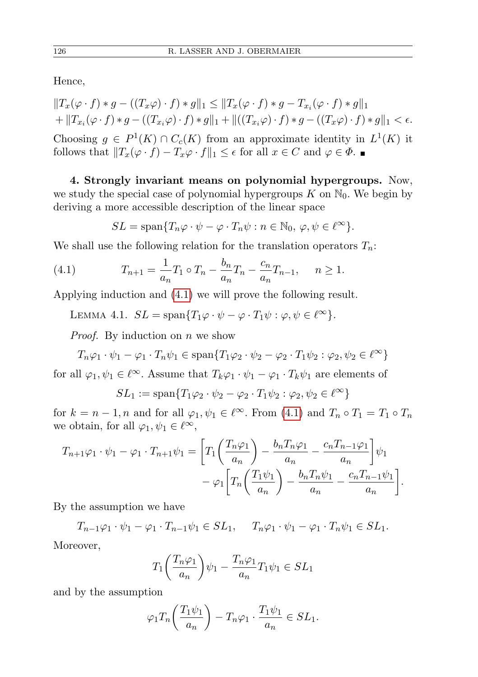Hence,

$$
||T_x(\varphi \cdot f) * g - ((T_x \varphi) \cdot f) * g||_1 \le ||T_x(\varphi \cdot f) * g - T_{x_i}(\varphi \cdot f) * g||_1
$$
  
+ 
$$
||T_{x_i}(\varphi \cdot f) * g - ((T_{x_i}\varphi) \cdot f) * g||_1 + ||((T_{x_i}\varphi) \cdot f) * g - ((T_x\varphi) \cdot f) * g||_1 < \epsilon.
$$
  
Choosing  $g \in P^1(K) \cap C_c(K)$  from an approximate identity in  $L^1(K)$  it  
follows that  $||T_x(\varphi \cdot f) - T_x\varphi \cdot f||_1 \le \epsilon$  for all  $x \in C$  and  $\varphi \in \Phi$ .

4. Strongly invariant means on polynomial hypergroups. Now, we study the special case of polynomial hypergroups  $K$  on  $\mathbb{N}_0$ . We begin by deriving a more accessible description of the linear space

<span id="page-7-0"></span>
$$
SL = \text{span}\{T_n\varphi \cdot \psi - \varphi \cdot T_n\psi : n \in \mathbb{N}_0, \, \varphi, \psi \in \ell^{\infty}\}.
$$

We shall use the following relation for the translation operators  $T_n$ :

(4.1) 
$$
T_{n+1} = \frac{1}{a_n} T_1 \circ T_n - \frac{b_n}{a_n} T_n - \frac{c_n}{a_n} T_{n-1}, \quad n \ge 1.
$$

<span id="page-7-1"></span>Applying induction and [\(4.1\)](#page-7-0) we will prove the following result.

LEMMA 4.1.  $SL = \text{span}\{T_1\varphi \cdot \psi - \varphi \cdot T_1\psi : \varphi, \psi \in \ell^{\infty}\}.$ 

*Proof.* By induction on  $n$  we show

$$
T_n \varphi_1 \cdot \psi_1 - \varphi_1 \cdot T_n \psi_1 \in \text{span}\{T_1 \varphi_2 \cdot \psi_2 - \varphi_2 \cdot T_1 \psi_2 : \varphi_2, \psi_2 \in \ell^{\infty}\}\
$$

for all  $\varphi_1, \psi_1 \in \ell^{\infty}$ . Assume that  $T_k \varphi_1 \cdot \psi_1 - \varphi_1 \cdot T_k \psi_1$  are elements of

$$
SL_1 := \mathrm{span}\{T_1\varphi_2 \cdot \psi_2 - \varphi_2 \cdot T_1\psi_2 : \varphi_2, \psi_2 \in \ell^{\infty}\}\
$$

for  $k = n - 1$ , n and for all  $\varphi_1, \psi_1 \in \ell^{\infty}$ . From [\(4.1\)](#page-7-0) and  $T_n \circ T_1 = T_1 \circ T_n$ we obtain, for all  $\varphi_1, \psi_1 \in \ell^{\infty}$ ,

$$
T_{n+1}\varphi_1 \cdot \psi_1 - \varphi_1 \cdot T_{n+1}\psi_1 = \left[ T_1 \left( \frac{T_n \varphi_1}{a_n} \right) - \frac{b_n T_n \varphi_1}{a_n} - \frac{c_n T_{n-1} \varphi_1}{a_n} \right] \psi_1
$$

$$
- \varphi_1 \left[ T_n \left( \frac{T_1 \psi_1}{a_n} \right) - \frac{b_n T_n \psi_1}{a_n} - \frac{c_n T_{n-1} \psi_1}{a_n} \right].
$$

By the assumption we have

 $T_{n-1}\varphi_1 \cdot \psi_1 - \varphi_1 \cdot T_{n-1}\psi_1 \in SL_1, \quad T_n\varphi_1 \cdot \psi_1 - \varphi_1 \cdot T_n\psi_1 \in SL_1.$ Moreover,

$$
T_1\left(\frac{T_n\varphi_1}{a_n}\right)\psi_1 - \frac{T_n\varphi_1}{a_n}T_1\psi_1 \in SL_1
$$

and by the assumption

$$
\varphi_1 T_n \left( \frac{T_1 \psi_1}{a_n} \right) - T_n \varphi_1 \cdot \frac{T_1 \psi_1}{a_n} \in SL_1.
$$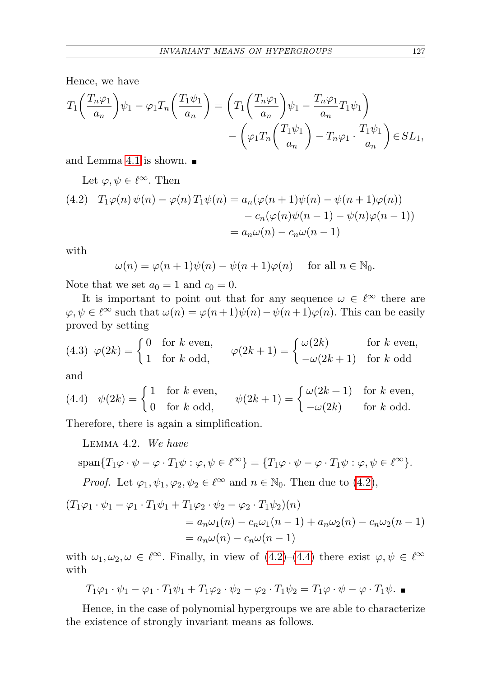Hence, we have

$$
T_1\left(\frac{T_n\varphi_1}{a_n}\right)\psi_1 - \varphi_1 T_n\left(\frac{T_1\psi_1}{a_n}\right) = \left(T_1\left(\frac{T_n\varphi_1}{a_n}\right)\psi_1 - \frac{T_n\varphi_1}{a_n}T_1\psi_1\right) - \left(\varphi_1 T_n\left(\frac{T_1\psi_1}{a_n}\right) - T_n\varphi_1 \cdot \frac{T_1\psi_1}{a_n}\right) \in SL_1,
$$

and Lemma [4.1](#page-7-1) is shown.

Let 
$$
\varphi, \psi \in \ell^{\infty}
$$
. Then  
\n(4.2)  $T_1\varphi(n)\psi(n) - \varphi(n)T_1\psi(n) = a_n(\varphi(n+1)\psi(n) - \psi(n+1)\varphi(n))$   
\n $- c_n(\varphi(n)\psi(n-1) - \psi(n)\varphi(n-1))$   
\n $= a_n\omega(n) - c_n\omega(n-1)$ 

with

$$
\omega(n) = \varphi(n+1)\psi(n) - \psi(n+1)\varphi(n) \quad \text{ for all } n \in \mathbb{N}_0.
$$

Note that we set  $a_0 = 1$  and  $c_0 = 0$ .

It is important to point out that for any sequence  $\omega \in \ell^{\infty}$  there are  $\varphi, \psi \in \ell^{\infty}$  such that  $\omega(n) = \varphi(n+1)\psi(n) - \psi(n+1)\varphi(n)$ . This can be easily proved by setting

<span id="page-8-3"></span>(4.3) 
$$
\varphi(2k) = \begin{cases} 0 & \text{for } k \text{ even,} \\ 1 & \text{for } k \text{ odd,} \end{cases} \qquad \varphi(2k+1) = \begin{cases} \omega(2k) & \text{for } k \text{ even,} \\ -\omega(2k+1) & \text{for } k \text{ odd} \end{cases}
$$

and

<span id="page-8-0"></span>(4.4) 
$$
\psi(2k) = \begin{cases} 1 & \text{for } k \text{ even,} \\ 0 & \text{for } k \text{ odd,} \end{cases} \qquad \psi(2k+1) = \begin{cases} \omega(2k+1) & \text{for } k \text{ even,} \\ -\omega(2k) & \text{for } k \text{ odd.} \end{cases}
$$

<span id="page-8-1"></span>Therefore, there is again a simplification.

Lemma 4.2. We have

$$
\text{span}\{T_1\varphi\cdot\psi-\varphi\cdot T_1\psi:\varphi,\psi\in\ell^\infty\}=\{T_1\varphi\cdot\psi-\varphi\cdot T_1\psi:\varphi,\psi\in\ell^\infty\}.
$$

*Proof.* Let  $\varphi_1, \psi_1, \varphi_2, \psi_2 \in \ell^{\infty}$  and  $n \in \mathbb{N}_0$ . Then due to [\(4.2\)](#page-7-1),

$$
(T_1\varphi_1 \cdot \psi_1 - \varphi_1 \cdot T_1\psi_1 + T_1\varphi_2 \cdot \psi_2 - \varphi_2 \cdot T_1\psi_2)(n)
$$
  
=  $a_n\omega_1(n) - c_n\omega_1(n-1) + a_n\omega_2(n) - c_n\omega_2(n-1)$   
=  $a_n\omega(n) - c_n\omega(n-1)$ 

with  $\omega_1, \omega_2, \omega \in \ell^{\infty}$ . Finally, in view of  $(4.2)$ – $(4.4)$  there exist  $\varphi, \psi \in \ell^{\infty}$ with

$$
T_1\varphi_1 \cdot \psi_1 - \varphi_1 \cdot T_1\psi_1 + T_1\varphi_2 \cdot \psi_2 - \varphi_2 \cdot T_1\psi_2 = T_1\varphi \cdot \psi - \varphi \cdot T_1\psi.
$$

<span id="page-8-2"></span>Hence, in the case of polynomial hypergroups we are able to characterize the existence of strongly invariant means as follows.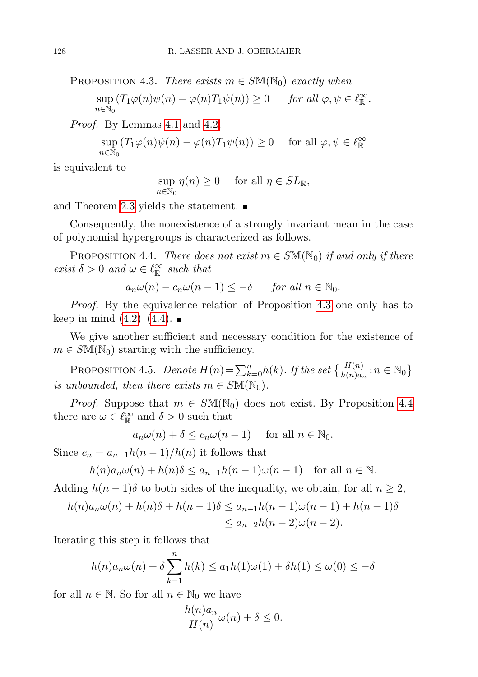PROPOSITION 4.3. There exists  $m \in S\mathbb{M}(\mathbb{N}_0)$  exactly when

$$
\sup_{n \in \mathbb{N}_0} (T_1 \varphi(n) \psi(n) - \varphi(n) T_1 \psi(n)) \ge 0 \quad \text{for all } \varphi, \psi \in \ell_{\mathbb{R}}^{\infty}.
$$

Proof. By Lemmas [4.1](#page-7-1) and [4.2,](#page-8-1)

$$
\sup_{n \in \mathbb{N}_0} (T_1 \varphi(n) \psi(n) - \varphi(n) T_1 \psi(n)) \ge 0 \quad \text{ for all } \varphi, \psi \in \ell_{\mathbb{R}}^{\infty}
$$

is equivalent to

$$
\sup_{n \in \mathbb{N}_0} \eta(n) \ge 0 \quad \text{ for all } \eta \in SL_{\mathbb{R}},
$$

and Theorem [2.3](#page-4-2) yields the statement.  $\blacksquare$ 

Consequently, the nonexistence of a strongly invariant mean in the case of polynomial hypergroups is characterized as follows.

<span id="page-9-0"></span>PROPOSITION 4.4. There does not exist  $m \in SM(N_0)$  if and only if there exist  $\delta > 0$  and  $\omega \in \ell^{\infty}_{\mathbb{R}}$  such that

$$
a_n \omega(n) - c_n \omega(n-1) \leq -\delta \quad \text{for all } n \in \mathbb{N}_0.
$$

Proof. By the equivalence relation of Proposition [4.3](#page-8-2) one only has to keep in mind  $(4.2)$ – $(4.4)$ .

We give another sufficient and necessary condition for the existence of  $m \in S\mathbb{M}(\mathbb{N}_0)$  starting with the sufficiency.

<span id="page-9-1"></span>PROPOSITION 4.5. Denote  $H(n) = \sum_{k=0}^{n} h(k)$ . If the set  $\left\{ \frac{H(n)}{h(n)a_n} : n \in \mathbb{N}_0 \right\}$ is unbounded, then there exists  $m \in SM(\mathbb{N}_0)$ .

*Proof.* Suppose that  $m \in SM(N_0)$  does not exist. By Proposition [4.4](#page-9-0) there are  $\omega \in \ell_{\mathbb{R}}^{\infty}$  and  $\delta > 0$  such that

$$
a_n\omega(n) + \delta \le c_n\omega(n-1)
$$
 for all  $n \in \mathbb{N}_0$ .

Since  $c_n = a_{n-1}h(n-1)/h(n)$  it follows that

$$
h(n)a_n\omega(n) + h(n)\delta \le a_{n-1}h(n-1)\omega(n-1) \quad \text{for all } n \in \mathbb{N}.
$$

Adding  $h(n-1)\delta$  to both sides of the inequality, we obtain, for all  $n \geq 2$ ,

$$
h(n)a_n\omega(n) + h(n)\delta + h(n-1)\delta \le a_{n-1}h(n-1)\omega(n-1) + h(n-1)\delta
$$
  

$$
\le a_{n-2}h(n-2)\omega(n-2).
$$

Iterating this step it follows that

$$
h(n)a_n\omega(n) + \delta \sum_{k=1}^n h(k) \le a_1h(1)\omega(1) + \delta h(1) \le \omega(0) \le -\delta
$$

for all  $n \in \mathbb{N}$ . So for all  $n \in \mathbb{N}_0$  we have

$$
\frac{h(n)a_n}{H(n)}\omega(n) + \delta \le 0.
$$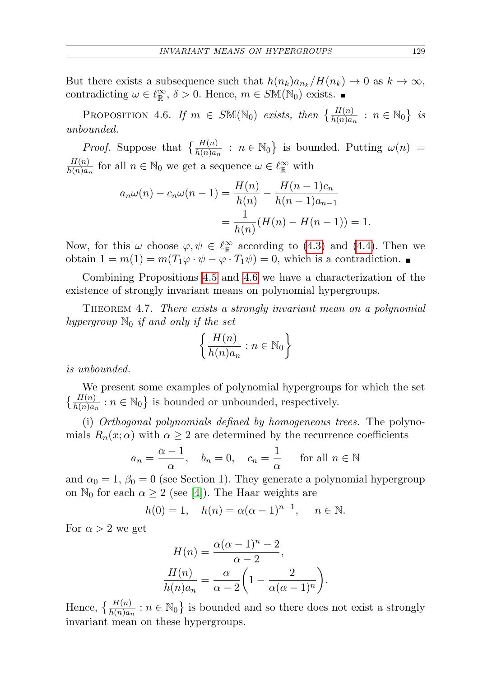But there exists a subsequence such that  $h(n_k)a_{n_k}/H(n_k) \to 0$  as  $k \to \infty$ , contradicting  $\omega \in \ell_{\mathbb{R}}^{\infty}$ ,  $\delta > 0$ . Hence,  $m \in S\mathbb{M}(\mathbb{N}_0)$  exists.

<span id="page-10-0"></span>PROPOSITION 4.6. If  $m \in S\mathbb{M}(\mathbb{N}_0)$  exists, then  $\left\{\frac{H(n)}{h(n)a_n} : n \in \mathbb{N}_0\right\}$  is unbounded.

*Proof.* Suppose that  $\left\{\frac{H(n)}{h(n)a_n} : n \in \mathbb{N}_0\right\}$  is bounded. Putting  $\omega(n)$  =  $H(n)$  $\frac{H(n)}{h(n)a_n}$  for all  $n \in \mathbb{N}_0$  we get a sequence  $\omega \in \ell_{\mathbb{R}}^{\infty}$  with

$$
a_n \omega(n) - c_n \omega(n-1) = \frac{H(n)}{h(n)} - \frac{H(n-1)c_n}{h(n-1)a_{n-1}}
$$
  
= 
$$
\frac{1}{h(n)} (H(n) - H(n-1)) = 1.
$$

Now, for this  $\omega$  choose  $\varphi, \psi \in \ell^{\infty}_{\mathbb{R}}$  according to [\(4.3\)](#page-8-3) and [\(4.4\)](#page-8-0). Then we obtain  $1 = m(1) = m(T_1\varphi \cdot \psi - \varphi \cdot T_1\psi) = 0$ , which is a contradiction.

Combining Propositions [4.5](#page-9-1) and [4.6](#page-10-0) we have a characterization of the existence of strongly invariant means on polynomial hypergroups.

THEOREM 4.7. There exists a strongly invariant mean on a polynomial hypergroup  $\mathbb{N}_0$  if and only if the set

$$
\left\{\frac{H(n)}{h(n)a_n} : n \in \mathbb{N}_0\right\}
$$

is unbounded.

We present some examples of polynomial hypergroups for which the set  $\left\{\frac{H(n)}{h(n)a_n} : n \in \mathbb{N}_0\right\}$  is bounded or unbounded, respectively.

(i) Orthogonal polynomials defined by homogeneous trees. The polynomials  $R_n(x; \alpha)$  with  $\alpha \geq 2$  are determined by the recurrence coefficients

$$
a_n = \frac{\alpha - 1}{\alpha}
$$
,  $b_n = 0$ ,  $c_n = \frac{1}{\alpha}$  for all  $n \in \mathbb{N}$ 

and  $\alpha_0 = 1$ ,  $\beta_0 = 0$  (see Section 1). They generate a polynomial hypergroup on  $\mathbb{N}_0$  for each  $\alpha \geq 2$  (see [\[4\]](#page-11-4)). The Haar weights are

$$
h(0) = 1
$$
,  $h(n) = \alpha(\alpha - 1)^{n-1}$ ,  $n \in \mathbb{N}$ .

For  $\alpha > 2$  we get

$$
H(n) = \frac{\alpha(\alpha - 1)^n - 2}{\alpha - 2},
$$

$$
\frac{H(n)}{h(n)a_n} = \frac{\alpha}{\alpha - 2} \left( 1 - \frac{2}{\alpha(\alpha - 1)^n} \right).
$$

Hence,  $\left\{\frac{H(n)}{h(n)a_n} : n \in \mathbb{N}_0\right\}$  is bounded and so there does not exist a strongly invariant mean on these hypergroups.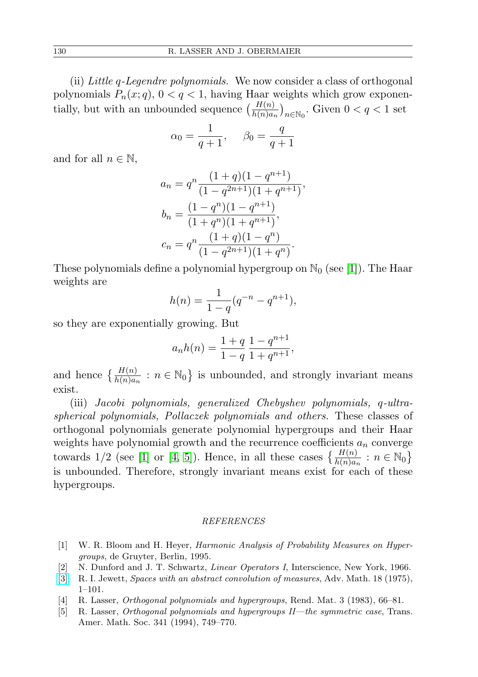(ii) Little q-Legendre polynomials. We now consider a class of orthogonal polynomials  $P_n(x; q)$ ,  $0 < q < 1$ , having Haar weights which grow exponentially, but with an unbounded sequence  $\left(\frac{H(n)}{h(n)a_n}\right)_{n \in \mathbb{N}_0}$ . Given  $0 < q < 1$  set

$$
\alpha_0 = \frac{1}{q+1}, \quad \beta_0 = \frac{q}{q+1}
$$

and for all  $n \in \mathbb{N}$ ,

$$
a_n = q^n \frac{(1+q)(1-q^{n+1})}{(1-q^{2n+1})(1+q^{n+1})},
$$
  
\n
$$
b_n = \frac{(1-q^n)(1-q^{n+1})}{(1+q^n)(1+q^{n+1})},
$$
  
\n
$$
c_n = q^n \frac{(1+q)(1-q^n)}{(1-q^{2n+1})(1+q^n)}.
$$

These polynomials define a polynomial hypergroup on  $\mathbb{N}_0$  (see [\[1\]](#page-11-0)). The Haar weights are

$$
h(n) = \frac{1}{1-q}(q^{-n} - q^{n+1}),
$$

so they are exponentially growing. But

$$
a_n h(n) = \frac{1+q}{1-q} \frac{1-q^{n+1}}{1+q^{n+1}},
$$

and hence  $\left\{\frac{H(n)}{h(n)a_n} : n \in \mathbb{N}_0\right\}$  is unbounded, and strongly invariant means exist.

(iii) Jacobi polynomials, generalized Chebyshev polynomials, q-ultraspherical polynomials, Pollaczek polynomials and others. These classes of orthogonal polynomials generate polynomial hypergroups and their Haar weights have polynomial growth and the recurrence coefficients  $a_n$  converge towards 1/2 (see [\[1\]](#page-11-0) or [\[4,](#page-11-4) [5\]](#page-11-2)). Hence, in all these cases  $\{\frac{H(n)}{h(n)a_n} : n \in \mathbb{N}_0\}$ is unbounded. Therefore, strongly invariant means exist for each of these hypergroups.

## REFERENCES

- <span id="page-11-0"></span>[1] W. R. Bloom and H. Heyer, Harmonic Analysis of Probability Measures on Hypergroups, de Gruyter, Berlin, 1995.
- <span id="page-11-3"></span>[2] N. Dunford and J. T. Schwartz, Linear Operators I, Interscience, New York, 1966.
- <span id="page-11-1"></span>[\[3\]](http://dx.doi.org/10.1016/0001-8708(75)90002-X) R. I. Jewett, Spaces with an abstract convolution of measures, Adv. Math. 18 (1975), 1–101.
- <span id="page-11-4"></span>[4] R. Lasser, Orthogonal polynomials and hypergroups, Rend. Mat. 3 (1983), 66–81.
- <span id="page-11-2"></span>[5] R. Lasser, Orthogonal polynomials and hypergroups II—the symmetric case, Trans. Amer. Math. Soc. 341 (1994), 749–770.